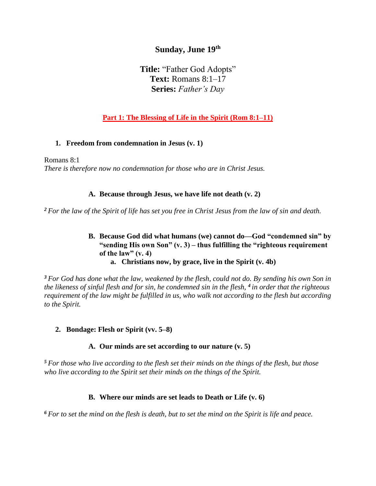# **Sunday, June 19 th**

**Title:** "Father God Adopts" **Text:** Romans 8:1–17 **Series:** *Father's Day*

# **Part 1: The Blessing of Life in the Spirit (Rom 8:1–11)**

#### **1. Freedom from condemnation in Jesus (v. 1)**

Romans 8:1 *There is therefore now no condemnation for those who are in Christ Jesus.*

## **A. Because through Jesus, we have life not death (v. 2)**

*<sup>2</sup> For the law of the Spirit of life has set you free in Christ Jesus from the law of sin and death.*

#### **B. Because God did what humans (we) cannot do—God "condemned sin" by "sending His own Son" (v. 3) – thus fulfilling the "righteous requirement of the law" (v. 4) a. Christians now, by grace, live in the Spirit (v. 4b)**

*<sup>3</sup> For God has done what the law, weakened by the flesh, could not do. By sending his own Son in the likeness of sinful flesh and for sin, he condemned sin in the flesh, <sup>4</sup> in order that the righteous requirement of the law might be fulfilled in us, who walk not according to the flesh but according to the Spirit.* 

## **2. Bondage: Flesh or Spirit (vv. 5–8)**

**A. Our minds are set according to our nature (v. 5)**

*<sup>5</sup> For those who live according to the flesh set their minds on the things of the flesh, but those who live according to the Spirit set their minds on the things of the Spirit.*

#### **B. Where our minds are set leads to Death or Life (v. 6)**

*<sup>6</sup> For to set the mind on the flesh is death, but to set the mind on the Spirit is life and peace.*